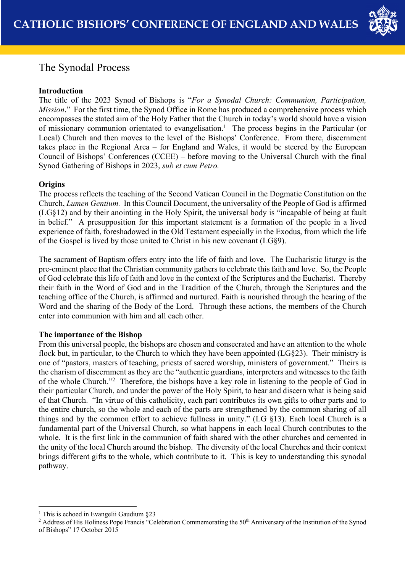

# The Synodal Process

# **Introduction**

The title of the 2023 Synod of Bishops is "*For a Synodal Church: Communion, Participation, Mission*." For the first time, the Synod Office in Rome has produced a comprehensive process which encompasses the stated aim of the Holy Father that the Church in today's world should have a vision of missionary communion orientated to evangelisation.<sup>1</sup> The process begins in the Particular (or Local) Church and then moves to the level of the Bishops' Conference. From there, discernment takes place in the Regional Area – for England and Wales, it would be steered by the European Council of Bishops' Conferences (CCEE) – before moving to the Universal Church with the final Synod Gathering of Bishops in 2023, *sub et cum Petro.*

## **Origins**

The process reflects the teaching of the Second Vatican Council in the Dogmatic Constitution on the Church, *Lumen Gentium.* In this Council Document, the universality of the People of God is affirmed (LG§12) and by their anointing in the Holy Spirit, the universal body is "incapable of being at fault in belief." A presupposition for this important statement is a formation of the people in a lived experience of faith, foreshadowed in the Old Testament especially in the Exodus, from which the life of the Gospel is lived by those united to Christ in his new covenant (LG§9).

The sacrament of Baptism offers entry into the life of faith and love. The Eucharistic liturgy is the pre-eminent place that the Christian community gathers to celebrate this faith and love. So, the People of God celebrate this life of faith and love in the context of the Scriptures and the Eucharist. Thereby their faith in the Word of God and in the Tradition of the Church, through the Scriptures and the teaching office of the Church, is affirmed and nurtured. Faith is nourished through the hearing of the Word and the sharing of the Body of the Lord. Through these actions, the members of the Church enter into communion with him and all each other.

## **The importance of the Bishop**

From this universal people, the bishops are chosen and consecrated and have an attention to the whole flock but, in particular, to the Church to which they have been appointed (LG§23). Their ministry is one of "pastors, masters of teaching, priests of sacred worship, ministers of government." Theirs is the charism of discernment as they are the "authentic guardians, interpreters and witnesses to the faith of the whole Church."<sup>2</sup> Therefore, the bishops have a key role in listening to the people of God in their particular Church, and under the power of the Holy Spirit, to hear and discern what is being said of that Church. "In virtue of this catholicity, each part contributes its own gifts to other parts and to the entire church, so the whole and each of the parts are strengthened by the common sharing of all things and by the common effort to achieve fullness in unity." (LG §13). Each local Church is a fundamental part of the Universal Church, so what happens in each local Church contributes to the whole. It is the first link in the communion of faith shared with the other churches and cemented in the unity of the local Church around the bishop. The diversity of the local Churches and their context brings different gifts to the whole, which contribute to it. This is key to understanding this synodal pathway.

<sup>&</sup>lt;sup>1</sup> This is echoed in Evangelii Gaudium  $§23$ 

<sup>&</sup>lt;sup>2</sup> Address of His Holiness Pope Francis "Celebration Commemorating the 50<sup>th</sup> Anniversary of the Institution of the Synod of Bishops" 17 October 2015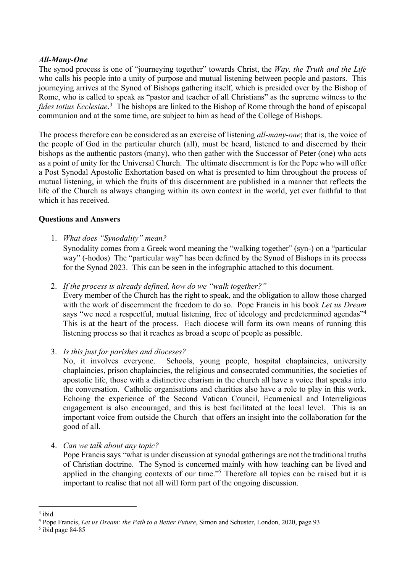## *All-Many-One*

The synod process is one of "journeying together" towards Christ, the *Way, the Truth and the Life* who calls his people into a unity of purpose and mutual listening between people and pastors. This journeying arrives at the Synod of Bishops gathering itself, which is presided over by the Bishop of Rome, who is called to speak as "pastor and teacher of all Christians" as the supreme witness to the fides totius Ecclesiae.<sup>3</sup> The bishops are linked to the Bishop of Rome through the bond of episcopal communion and at the same time, are subject to him as head of the College of Bishops.

The process therefore can be considered as an exercise of listening *all-many-one*; that is, the voice of the people of God in the particular church (all), must be heard, listened to and discerned by their bishops as the authentic pastors (many), who then gather with the Successor of Peter (one) who acts as a point of unity for the Universal Church. The ultimate discernment is for the Pope who will offer a Post Synodal Apostolic Exhortation based on what is presented to him throughout the process of mutual listening, in which the fruits of this discernment are published in a manner that reflects the life of the Church as always changing within its own context in the world, yet ever faithful to that which it has received.

#### **Questions and Answers**

1. *What does "Synodality" mean?*

Synodality comes from a Greek word meaning the "walking together" (syn-) on a "particular way" (-hodos) The "particular way" has been defined by the Synod of Bishops in its process for the Synod 2023. This can be seen in the infographic attached to this document.

2. *If the process is already defined, how do we "walk together?"*

Every member of the Church has the right to speak, and the obligation to allow those charged with the work of discernment the freedom to do so. Pope Francis in his book *Let us Dream* says "we need a respectful, mutual listening, free of ideology and predetermined agendas"<sup>4</sup> This is at the heart of the process. Each diocese will form its own means of running this listening process so that it reaches as broad a scope of people as possible.

3. *Is this just for parishes and dioceses?*

No, it involves everyone. Schools, young people, hospital chaplaincies, university chaplaincies, prison chaplaincies, the religious and consecrated communities, the societies of apostolic life, those with a distinctive charism in the church all have a voice that speaks into the conversation. Catholic organisations and charities also have a role to play in this work. Echoing the experience of the Second Vatican Council, Ecumenical and Interreligious engagement is also encouraged, and this is best facilitated at the local level. This is an important voice from outside the Church that offers an insight into the collaboration for the good of all.

4. *Can we talk about any topic?*

Pope Francis says "what is under discussion at synodal gatherings are not the traditional truths of Christian doctrine. The Synod is concerned mainly with how teaching can be lived and applied in the changing contexts of our time."5 Therefore all topics can be raised but it is important to realise that not all will form part of the ongoing discussion.

<sup>3</sup> ibid

<sup>4</sup> Pope Francis, *Let us Dream: the Path to a Better Future*, Simon and Schuster, London, 2020, page 93

<sup>5</sup> ibid page 84-85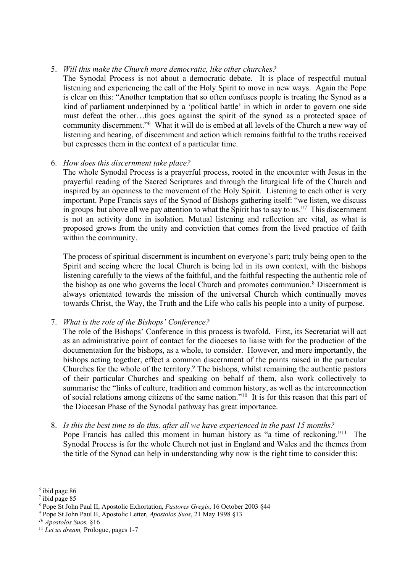#### 5. *Will this make the Church more democratic, like other churches?*

The Synodal Process is not about a democratic debate. It is place of respectful mutual listening and experiencing the call of the Holy Spirit to move in new ways. Again the Pope is clear on this: "Another temptation that so often confuses people is treating the Synod as a kind of parliament underpinned by a 'political battle' in which in order to govern one side must defeat the other…this goes against the spirit of the synod as a protected space of community discernment."6 What it will do is embed at all levels of the Church a new way of listening and hearing, of discernment and action which remains faithful to the truths received but expresses them in the context of a particular time.

#### 6. *How does this discernment take place?*

The whole Synodal Process is a prayerful process, rooted in the encounter with Jesus in the prayerful reading of the Sacred Scriptures and through the liturgical life of the Church and inspired by an openness to the movement of the Holy Spirit. Listening to each other is very important. Pope Francis says of the Synod of Bishops gathering itself: "we listen, we discuss in groups but above all we pay attention to what the Spirit has to say to us."7 This discernment is not an activity done in isolation. Mutual listening and reflection are vital, as what is proposed grows from the unity and conviction that comes from the lived practice of faith within the community.

The process of spiritual discernment is incumbent on everyone's part; truly being open to the Spirit and seeing where the local Church is being led in its own context, with the bishops listening carefully to the views of the faithful, and the faithful respecting the authentic role of the bishop as one who governs the local Church and promotes communion.<sup>8</sup> Discernment is always orientated towards the mission of the universal Church which continually moves towards Christ, the Way, the Truth and the Life who calls his people into a unity of purpose.

7. *What is the role of the Bishops' Conference?*

The role of the Bishops' Conference in this process is twofold. First, its Secretariat will act as an administrative point of contact for the dioceses to liaise with for the production of the documentation for the bishops, as a whole, to consider. However, and more importantly, the bishops acting together, effect a common discernment of the points raised in the particular Churches for the whole of the territory.9 The bishops, whilst remaining the authentic pastors of their particular Churches and speaking on behalf of them, also work collectively to summarise the "links of culture, tradition and common history, as well as the interconnection of social relations among citizens of the same nation."10 It is for this reason that this part of the Diocesan Phase of the Synodal pathway has great importance.

8. *Is this the best time to do this, after all we have experienced in the past 15 months?* Pope Francis has called this moment in human history as "a time of reckoning."<sup>11</sup> The Synodal Process is for the whole Church not just in England and Wales and the themes from the title of the Synod can help in understanding why now is the right time to consider this:

<sup>6</sup> ibid page 86

 $7$  ibid page 85

<sup>8</sup> Pope St John Paul II, Apostolic Exhortation, *Pastores Gregis*, 16 October 2003 §44

<sup>9</sup> Pope St John Paul II, Apostolic Letter, *Apostolos Suos*, 21 May 1998 §13

*<sup>10</sup> Apostolos Suos,* §16

<sup>11</sup> *Let us dream,* Prologue, pages 1-7